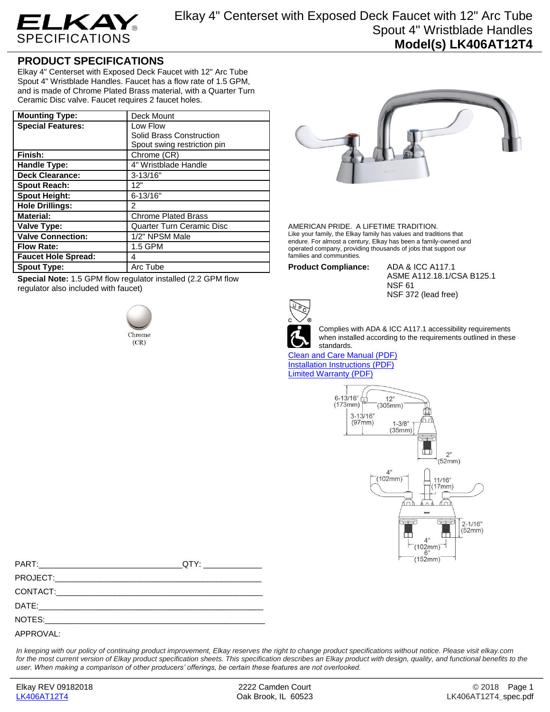

## **PRODUCT SPECIFICATIONS**

Elkay 4" Centerset with Exposed Deck Faucet with 12" Arc Tube Spout 4" Wristblade Handles. Faucet has a flow rate of 1.5 GPM, and is made of Chrome Plated Brass material, with a Quarter Turn Ceramic Disc valve. Faucet requires 2 faucet holes.

| <b>Mounting Type:</b>      | Deck Mount                       |
|----------------------------|----------------------------------|
| <b>Special Features:</b>   | Low Flow                         |
|                            | Solid Brass Construction         |
|                            | Spout swing restriction pin      |
| Finish:                    | Chrome (CR)                      |
| <b>Handle Type:</b>        | 4" Wristblade Handle             |
| <b>Deck Clearance:</b>     | $3 - 13/16"$                     |
| <b>Spout Reach:</b>        | 12"                              |
| <b>Spout Height:</b>       | $6 - 13/16"$                     |
| <b>Hole Drillings:</b>     | 2                                |
| <b>Material:</b>           | <b>Chrome Plated Brass</b>       |
| Valve Type:                | <b>Quarter Turn Ceramic Disc</b> |
| <b>Valve Connection:</b>   | 1/2" NPSM Male                   |
| <b>Flow Rate:</b>          | 1.5 GPM                          |
| <b>Faucet Hole Spread:</b> | 4                                |
| <b>Spout Type:</b>         | Arc Tube                         |

**Special Note:** 1.5 GPM flow regulator installed (2.2 GPM flow regulator also included with faucet)





AMERICAN PRIDE. A LIFETIME TRADITION. Like your family, the Elkay family has values and traditions that endure. For almost a century, Elkay has been a family-owned and operated company, providing thousands of jobs that support our families and communities.

**Product Compliance:** ADA & ICC A117.1

ASME A112.18.1/CSA B125.1 NSF 61 NSF 372 (lead free)



Complies with ADA & ICC A117.1 accessibility requirements when installed according to the requirements outlined in these standards.

[Clean and Care Manual \(PDF\)](http://www.elkay.com/wcsstore/lkdocs/care-cleaning-install-warranty-sheets/residential%20and%20commercial%20care%20%20cleaning.pdf) [Installation Instructions \(PDF\)](http://www.elkay.com/wcsstore/lkdocs/care-cleaning-install-warranty-sheets/a55483.pdf) [Limited Warranty](http://www.elkay.com/wcsstore/lkdocs/care-cleaning-install-warranty-sheets/commercial%20sinks%20and%20faucets%20warranty.pdf) (PDF)



*In keeping with our policy of continuing product improvement, Elkay reserves the right to change product specifications without notice. Please visit elkay.com*  for the most current version of Elkay product specification sheets. This specification describes an Elkay product with design, quality, and functional benefits to the *user. When making a comparison of other producers' offerings, be certain these features are not overlooked.*